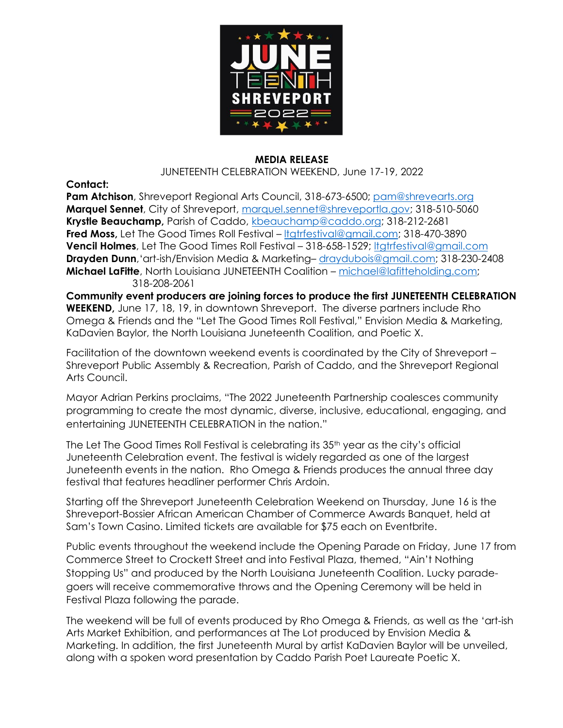

## **MEDIA RELEASE**

JUNETEENTH CELEBRATION WEEKEND, June 17-19, 2022

**Contact:** 

Pam Atchison, Shreveport Regional Arts Council, 318-673-6500; [pam@shrevearts.or](mailto:pam@shrevearts.o)g **Marquel Sennet**, City of Shreveport, [marquel.sennet@shreveportla.gov;](mailto:marquel.sennet@shreveportla.gov) 318-510-5060 **Krystle Beauchamp,** Parish of Caddo, [kbeauchamp@caddo.org;](mailto:kbeauchamp@caddo.org) 318-212-2681 **Fred Moss,** Let The Good Times Roll Festival – Itgtrfestival@gmail.com; 318-470-3890 **Vencil Holmes**, Let The Good Times Roll Festival – 318-658-1529; [ltgtrfestival@gmail.com](mailto:ltgtrfestival@gmail.com) **Drayden Dunn**,'art-ish/Envision Media & Marketing– [draydubois@gmail.com;](mailto:draydubois@gmail.com) 318-230-2408 **Michael LaFitte**, North Louisiana JUNETEENTH Coalition – [michael@lafitteholding.com;](mailto:michael@lafitteholding.com) 318-208-2061

**Community event producers are joining forces to produce the first JUNETEENTH CELEBRATION WEEKEND,** June 17, 18, 19, in downtown Shreveport. The diverse partners include Rho Omega & Friends and the "Let The Good Times Roll Festival," Envision Media & Marketing, KaDavien Baylor, the North Louisiana Juneteenth Coalition, and Poetic X.

Facilitation of the downtown weekend events is coordinated by the City of Shreveport – Shreveport Public Assembly & Recreation, Parish of Caddo, and the Shreveport Regional Arts Council.

Mayor Adrian Perkins proclaims, "The 2022 Juneteenth Partnership coalesces community programming to create the most dynamic, diverse, inclusive, educational, engaging, and entertaining JUNETEENTH CELEBRATION in the nation."

The Let The Good Times Roll Festival is celebrating its 35<sup>th</sup> year as the city's official Juneteenth Celebration event. The festival is widely regarded as one of the largest Juneteenth events in the nation. Rho Omega & Friends produces the annual three day festival that features headliner performer Chris Ardoin.

Starting off the Shreveport Juneteenth Celebration Weekend on Thursday, June 16 is the Shreveport-Bossier African American Chamber of Commerce Awards Banquet, held at Sam's Town Casino. Limited tickets are available for \$75 each on Eventbrite.

Public events throughout the weekend include the Opening Parade on Friday, June 17 from Commerce Street to Crockett Street and into Festival Plaza, themed, "Ain't Nothing Stopping Us" and produced by the North Louisiana Juneteenth Coalition. Lucky paradegoers will receive commemorative throws and the Opening Ceremony will be held in Festival Plaza following the parade.

The weekend will be full of events produced by Rho Omega & Friends, as well as the 'art-ish Arts Market Exhibition, and performances at The Lot produced by Envision Media & Marketing. In addition, the first Juneteenth Mural by artist KaDavien Baylor will be unveiled, along with a spoken word presentation by Caddo Parish Poet Laureate Poetic X.